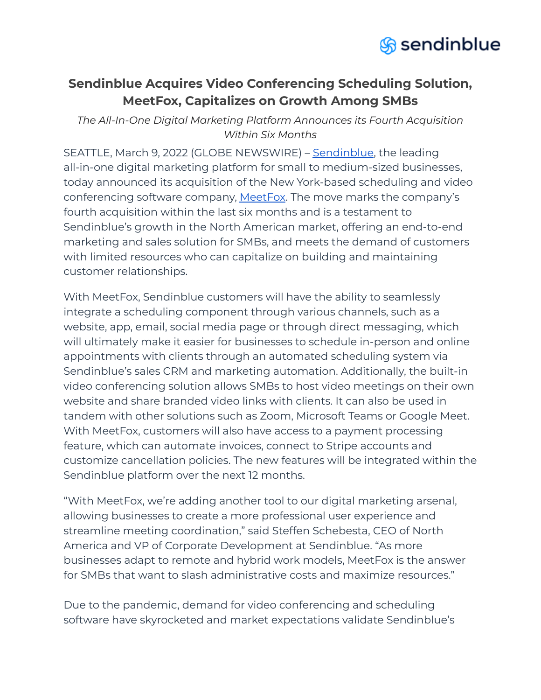

## **Sendinblue Acquires Video Conferencing Scheduling Solution, MeetFox, Capitalizes on Growth Among SMBs**

*The All-In-One Digital Marketing Platform Announces its Fourth Acquisition Within Six Months*

SEATTLE, March 9, 2022 (GLOBE NEWSWIRE) – [Sendinblue](https://www.sendinblue.com/), the leading all-in-one digital marketing platform for small to medium-sized businesses, today announced its acquisition of the New York-based scheduling and video conferencing software company, [MeetFox](https://meetfox.com/en/). The move marks the company's fourth acquisition within the last six months and is a testament to Sendinblue's growth in the North American market, offering an end-to-end marketing and sales solution for SMBs, and meets the demand of customers with limited resources who can capitalize on building and maintaining customer relationships.

With MeetFox, Sendinblue customers will have the ability to seamlessly integrate a scheduling component through various channels, such as a website, app, email, social media page or through direct messaging, which will ultimately make it easier for businesses to schedule in-person and online appointments with clients through an automated scheduling system via Sendinblue's sales CRM and marketing automation. Additionally, the built-in video conferencing solution allows SMBs to host video meetings on their own website and share branded video links with clients. It can also be used in tandem with other solutions such as Zoom, Microsoft Teams or Google Meet. With MeetFox, customers will also have access to a payment processing feature, which can automate invoices, connect to Stripe accounts and customize cancellation policies. The new features will be integrated within the Sendinblue platform over the next 12 months.

"With MeetFox, we're adding another tool to our digital marketing arsenal, allowing businesses to create a more professional user experience and streamline meeting coordination," said Steffen Schebesta, CEO of North America and VP of Corporate Development at Sendinblue. "As more businesses adapt to remote and hybrid work models, MeetFox is the answer for SMBs that want to slash administrative costs and maximize resources."

Due to the pandemic, demand for video conferencing and scheduling software have skyrocketed and market expectations validate Sendinblue's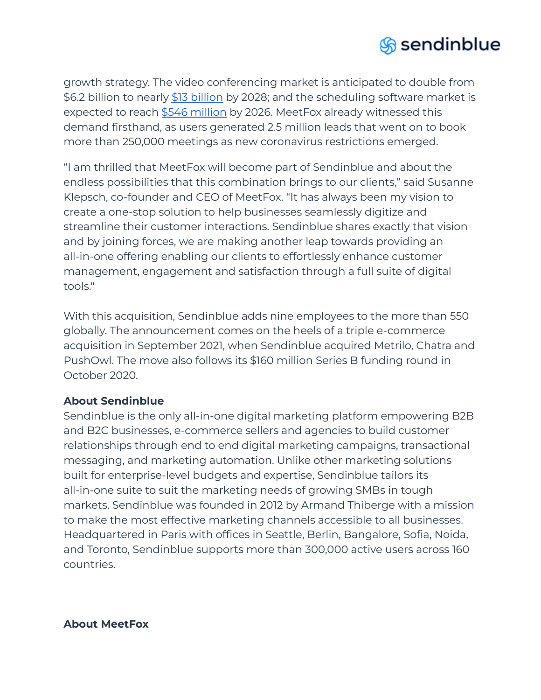

growth strategy. The video conferencing market is anticipated to double from \$6.2 [billion](https://www.fortunebusinessinsights.com/industry-reports/video-conferencing-market-100293) to nearly \$13 billion by 2028; and the scheduling software market is expected to reach \$546 [million](https://www.alliedmarketresearch.com/appointment-scheduling-software-market) by 2026. MeetFox already witnessed this demand firsthand, as users generated 2.5 million leads that went on to book more than 250,000 meetings as new coronavirus restrictions emerged.

"I am thrilled that MeetFox will become part of Sendinblue and about the endless possibilities that this combination brings to our clients," said Susanne Klepsch, co-founder and CEO of MeetFox. "It has always been my vision to create a one-stop solution to help businesses seamlessly digitize and streamline their customer interactions. Sendinblue shares exactly that vision and by joining forces, we are making another leap towards providing an all-in-one offering enabling our clients to effortlessly enhance customer management, engagement and satisfaction through a full suite of digital tools."

With this acquisition, Sendinblue adds nine employees to the more than 550 globally. The announcement comes on the heels of a triple e-commerce acquisition in September 2021, when Sendinblue acquired Metrilo, Chatra and PushOwl. The move also follows its \$160 million Series B funding round in October 2020.

## **About Sendinblue**

Sendinblue is the only all-in-one digital marketing platform empowering B2B and B2C businesses, e-commerce sellers and agencies to build customer relationships through end to end digital marketing campaigns, transactional messaging, and marketing automation. Unlike other marketing solutions built for enterprise-level budgets and expertise, Sendinblue tailors its all-in-one suite to suit the marketing needs of growing SMBs in tough markets. Sendinblue was founded in 2012 by Armand Thiberge with a mission to make the most effective marketing channels accessible to all businesses. Headquartered in Paris with offices in Seattle, Berlin, Bangalore, Sofia, Noida, and Toronto, Sendinblue supports more than 300,000 active users across 160 countries.

## **About MeetFox**